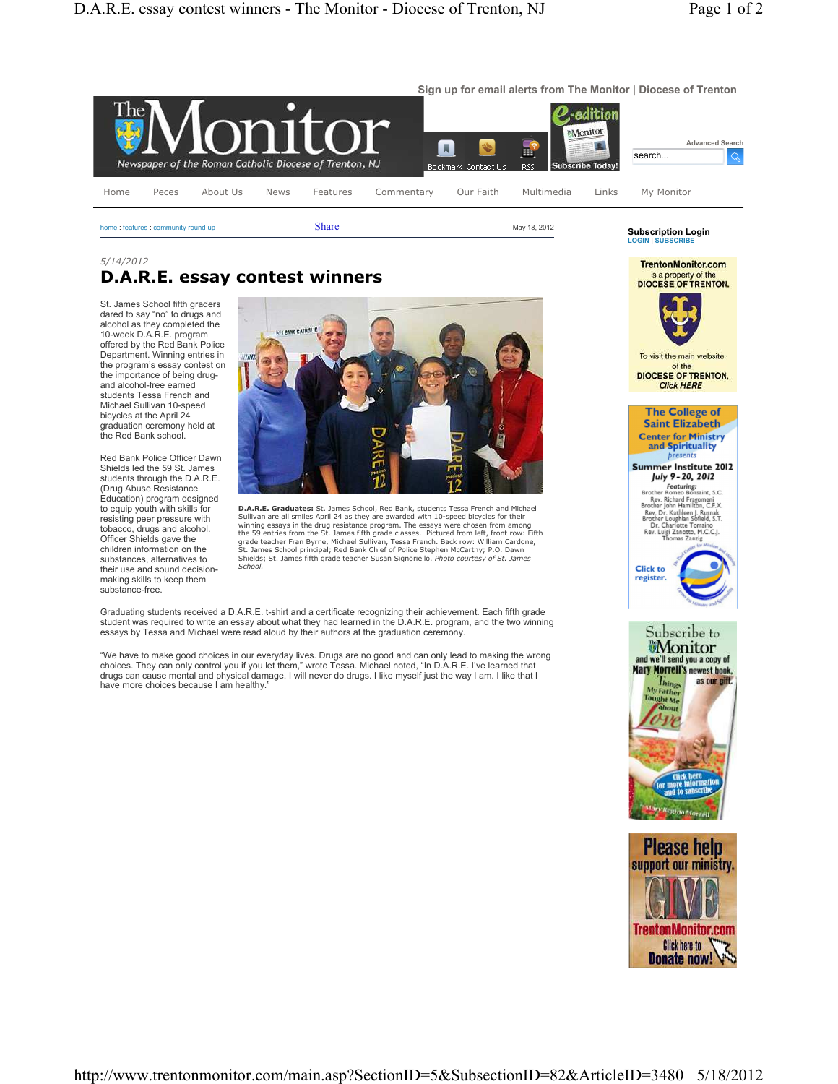

home : features : community round-up Share Share May 18, 2012

## *5/14/2012* **D.A.R.E. essay contest winners**

St. James School fifth graders dared to say "no" to drugs and alcohol as they completed the 10-week D.A.R.E. program offered by the Red Bank Police Department. Winning entries in the program's essay contest on the importance of being drugand alcohol-free earned students Tessa French and Michael Sullivan 10-speed bicycles at the April 24 graduation ceremony held at the Red Bank school.

Red Bank Police Officer Dawn Shields led the 59 St. James students through the D.A.R.E. (Drug Abuse Resistance Education) program designed to equip youth with skills for resisting peer pressure with tobacco, drugs and alcohol. Officer Shields gave the children information on the substances, alternatives to their use and sound decisionmaking skills to keep them substance-free.



**D.A.R.E. Graduates:** St. James School, Red Bank, students Tessa French and Michael Sullivan are all smiles April 24 as they are awarded with 10-speed bicycles for their winning essays in the drug resistance program. The essays were chosen from among the 59 entries from the St. James fifth grade classes. Pictured from left, front row: Fifth grade teacher Fran Byrne, Michael Sullivan, Tessa French. Back row: William Cardone, St. James School principal; Red Bank Chief of Police Stephen McCarthy; P.O. Dawn Shields; St. James fifth grade teacher Susan Signoriello. *Photo courtesy of St. James School.*

Graduating students received a D.A.R.E. t-shirt and a certificate recognizing their achievement. Each fifth grade student was required to write an essay about what they had learned in the D.A.R.E. program, and the two winning essays by Tessa and Michael were read aloud by their authors at the graduation ceremony.

"We have to make good choices in our everyday lives. Drugs are no good and can only lead to making the wrong choices. They can only control you if you let them," wrote Tessa. Michael noted, "In D.A.R.E. I've learned that drugs can cause mental and physical damage. I will never do drugs. I like myself just the way I am. I like that I have more choices because I am healthy."